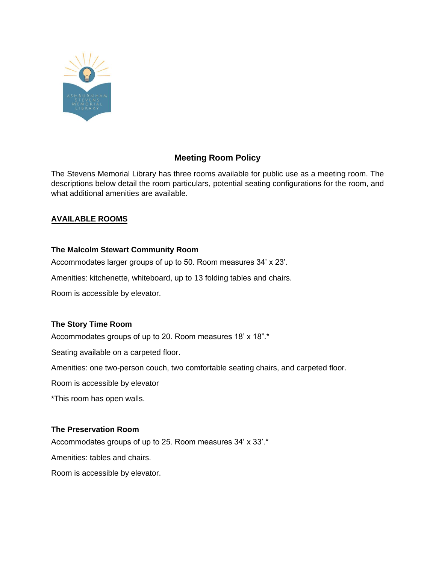

## **Meeting Room Policy**

 The Stevens Memorial Library has three rooms available for public use as a meeting room. The descriptions below detail the room particulars, potential seating configurations for the room, and what additional amenities are available.

#### **AVAILABLE ROOMS**

### **The Malcolm Stewart Community Room**

Accommodates larger groups of up to 50. Room measures 34' x 23'.

Amenities: kitchenette, whiteboard, up to 13 folding tables and chairs.

Room is accessible by elevator.

# **The Story Time Room**

Accommodates groups of up to 20. Room measures 18' x 18".\*

Seating available on a carpeted floor.

Amenities: one two-person couch, two comfortable seating chairs, and carpeted floor.

Room is accessible by elevator

\*This room has open walls.

### **The Preservation Room**

Accommodates groups of up to 25. Room measures 34' x 33'.\*

Amenities: tables and chairs.

Room is accessible by elevator.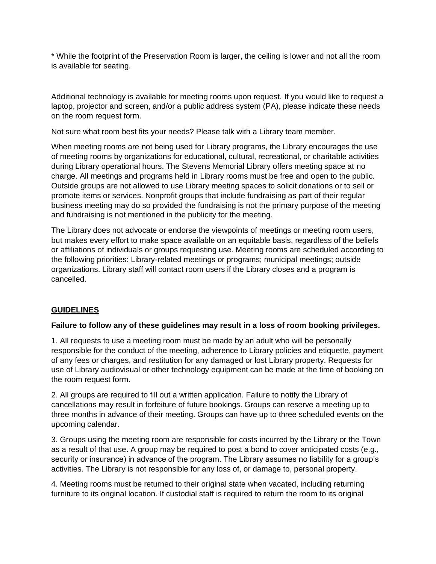\* While the footprint of the Preservation Room is larger, the ceiling is lower and not all the room is available for seating.

 Additional technology is available for meeting rooms upon request. If you would like to request a laptop, projector and screen, and/or a public address system (PA), please indicate these needs on the room request form.

Not sure what room best fits your needs? Please talk with a Library team member.

 When meeting rooms are not being used for Library programs, the Library encourages the use of meeting rooms by organizations for educational, cultural, recreational, or charitable activities during Library operational hours. The Stevens Memorial Library offers meeting space at no charge. All meetings and programs held in Library rooms must be free and open to the public. Outside groups are not allowed to use Library meeting spaces to solicit donations or to sell or promote items or services. Nonprofit groups that include fundraising as part of their regular business meeting may do so provided the fundraising is not the primary purpose of the meeting and fundraising is not mentioned in the publicity for the meeting.

 The Library does not advocate or endorse the viewpoints of meetings or meeting room users, but makes every effort to make space available on an equitable basis, regardless of the beliefs or affiliations of individuals or groups requesting use. Meeting rooms are scheduled according to the following priorities: Library-related meetings or programs; municipal meetings; outside organizations. Library staff will contact room users if the Library closes and a program is cancelled.

### **GUIDELINES**

### **Failure to follow any of these guidelines may result in a loss of room booking privileges.**

 1. All requests to use a meeting room must be made by an adult who will be personally responsible for the conduct of the meeting, adherence to Library policies and etiquette, payment of any fees or charges, and restitution for any damaged or lost Library property. Requests for use of Library audiovisual or other technology equipment can be made at the time of booking on the room request form.

 2. All groups are required to fill out a written application. Failure to notify the Library of cancellations may result in forfeiture of future bookings. Groups can reserve a meeting up to three months in advance of their meeting. Groups can have up to three scheduled events on the upcoming calendar.

 3. Groups using the meeting room are responsible for costs incurred by the Library or the Town as a result of that use. A group may be required to post a bond to cover anticipated costs (e.g., security or insurance) in advance of the program. The Library assumes no liability for a group's activities. The Library is not responsible for any loss of, or damage to, personal property.

 4. Meeting rooms must be returned to their original state when vacated, including returning furniture to its original location. If custodial staff is required to return the room to its original